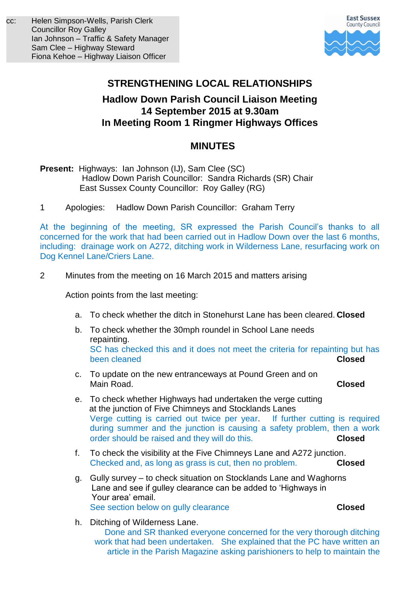

# **STRENGTHENING LOCAL RELATIONSHIPS**

# **Hadlow Down Parish Council Liaison Meeting 14 September 2015 at 9.30am In Meeting Room 1 Ringmer Highways Offices**

# **MINUTES**

- **Present:** Highways: Ian Johnson (IJ), Sam Clee (SC) Hadlow Down Parish Councillor: Sandra Richards (SR) Chair East Sussex County Councillor: Roy Galley (RG)
- 1 Apologies: Hadlow Down Parish Councillor: Graham Terry

At the beginning of the meeting, SR expressed the Parish Council's thanks to all concerned for the work that had been carried out in Hadlow Down over the last 6 months, including: drainage work on A272, ditching work in Wilderness Lane, resurfacing work on Dog Kennel Lane/Criers Lane.

2 Minutes from the meeting on 16 March 2015 and matters arising

Action points from the last meeting:

- a. To check whether the ditch in Stonehurst Lane has been cleared. **Closed**
- b. To check whether the 30mph roundel in School Lane needs repainting. SC has checked this and it does not meet the criteria for repainting but has been cleaned **Closed**
- c. To update on the new entranceways at Pound Green and on Main Road. **Closed**
- e. To check whether Highways had undertaken the verge cutting at the junction of Five Chimneys and Stocklands Lanes Verge cutting is carried out twice per year. If further cutting is required during summer and the junction is causing a safety problem, then a work order should be raised and they will do this. **Closed**
- f. To check the visibility at the Five Chimneys Lane and A272 junction. Checked and, as long as grass is cut, then no problem. **Closed**
- g. Gully survey to check situation on Stocklands Lane and Waghorns Lane and see if gulley clearance can be added to 'Highways in Your area' email. See section below on gully clearance **Closed**
- h. Ditching of Wilderness Lane. Done and SR thanked everyone concerned for the very thorough ditching work that had been undertaken. She explained that the PC have written an article in the Parish Magazine asking parishioners to help to maintain the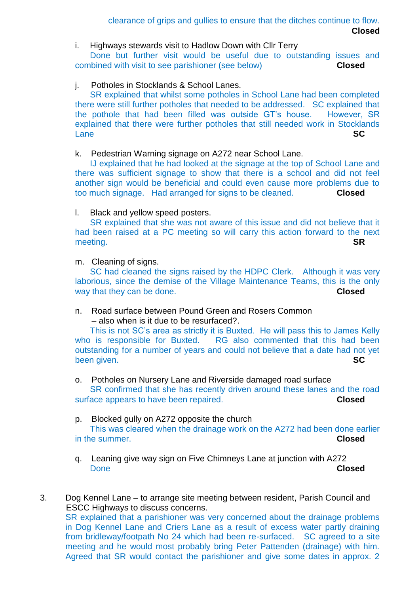clearance of grips and gullies to ensure that the ditches continue to flow. **Closed**

i. Highways stewards visit to Hadlow Down with Cllr Terry

Done but further visit would be useful due to outstanding issues and combined with visit to see parishioner (see below) **Closed**

# j. Potholes in Stocklands & School Lanes.

SR explained that whilst some potholes in School Lane had been completed there were still further potholes that needed to be addressed. SC explained that the pothole that had been filled was outside GT's house. However, SR explained that there were further potholes that still needed work in Stocklands Lane **SC**

#### k. Pedestrian Warning signage on A272 near School Lane.

IJ explained that he had looked at the signage at the top of School Lane and there was sufficient signage to show that there is a school and did not feel another sign would be beneficial and could even cause more problems due to too much signage. Had arranged for signs to be cleaned. **Closed**

#### l. Black and yellow speed posters.

SR explained that she was not aware of this issue and did not believe that it had been raised at a PC meeting so will carry this action forward to the next meeting. **SR**

m. Cleaning of signs.

SC had cleaned the signs raised by the HDPC Clerk. Although it was very laborious, since the demise of the Village Maintenance Teams, this is the only way that they can be done. **Closed**

n. Road surface between Pound Green and Rosers Common – also when is it due to be resurfaced?.

This is not SC's area as strictly it is Buxted. He will pass this to James Kelly who is responsible for Buxted. RG also commented that this had been outstanding for a number of years and could not believe that a date had not yet been given. **SC** 

o. Potholes on Nursery Lane and Riverside damaged road surface SR confirmed that she has recently driven around these lanes and the road surface appears to have been repaired. **Closed**

- p. Blocked gully on A272 opposite the church This was cleared when the drainage work on the A272 had been done earlier in the summer. **Closed**
- q. Leaning give way sign on Five Chimneys Lane at junction with A272 Done **Closed**
- 3. Dog Kennel Lane to arrange site meeting between resident, Parish Council and ESCC Highways to discuss concerns. SR explained that a parishioner was very concerned about the drainage problems in Dog Kennel Lane and Criers Lane as a result of excess water partly draining from bridleway/footpath No 24 which had been re-surfaced. SC agreed to a site meeting and he would most probably bring Peter Pattenden (drainage) with him. Agreed that SR would contact the parishioner and give some dates in approx. 2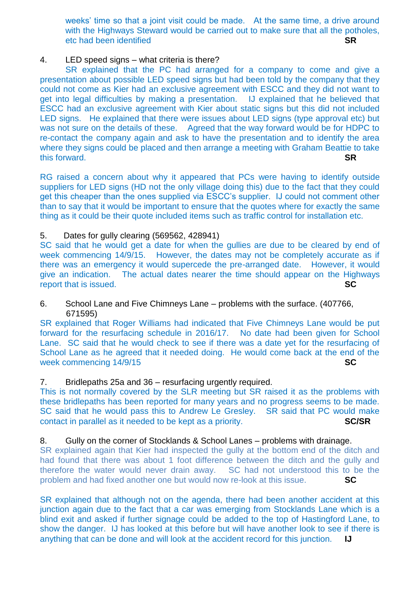weeks' time so that a joint visit could be made. At the same time, a drive around with the Highways Steward would be carried out to make sure that all the potholes, etc had been identified **SR**

#### 4. LED speed signs – what criteria is there?

SR explained that the PC had arranged for a company to come and give a presentation about possible LED speed signs but had been told by the company that they could not come as Kier had an exclusive agreement with ESCC and they did not want to get into legal difficulties by making a presentation. IJ explained that he believed that ESCC had an exclusive agreement with Kier about static signs but this did not included LED signs. He explained that there were issues about LED signs (type approval etc) but was not sure on the details of these. Agreed that the way forward would be for HDPC to re-contact the company again and ask to have the presentation and to identify the area where they signs could be placed and then arrange a meeting with Graham Beattie to take this forward. **SR**

RG raised a concern about why it appeared that PCs were having to identify outside suppliers for LED signs (HD not the only village doing this) due to the fact that they could get this cheaper than the ones supplied via ESCC's supplier. IJ could not comment other than to say that it would be important to ensure that the quotes where for exactly the same thing as it could be their quote included items such as traffic control for installation etc.

# 5. Dates for gully clearing (569562, 428941)

SC said that he would get a date for when the gullies are due to be cleared by end of week commencing 14/9/15. However, the dates may not be completely accurate as if there was an emergency it would supercede the pre-arranged date. However, it would give an indication. The actual dates nearer the time should appear on the Highways report that is issued. **SC**

#### 6. School Lane and Five Chimneys Lane – problems with the surface. (407766, 671595)

SR explained that Roger Williams had indicated that Five Chimneys Lane would be put forward for the resurfacing schedule in 2016/17. No date had been given for School Lane. SC said that he would check to see if there was a date yet for the resurfacing of School Lane as he agreed that it needed doing. He would come back at the end of the week commencing 14/9/15 **SC**

# 7. Bridlepaths 25a and 36 – resurfacing urgently required.

This is not normally covered by the SLR meeting but SR raised it as the problems with these bridlepaths has been reported for many years and no progress seems to be made. SC said that he would pass this to Andrew Le Gresley. SR said that PC would make contact in parallel as it needed to be kept as a priority. **SC/SR**

# 8. Gully on the corner of Stocklands & School Lanes – problems with drainage.

SR explained again that Kier had inspected the gully at the bottom end of the ditch and had found that there was about 1 foot difference between the ditch and the gully and therefore the water would never drain away. SC had not understood this to be the problem and had fixed another one but would now re-look at this issue. **SC**

SR explained that although not on the agenda, there had been another accident at this junction again due to the fact that a car was emerging from Stocklands Lane which is a blind exit and asked if further signage could be added to the top of Hastingford Lane, to show the danger. IJ has looked at this before but will have another look to see if there is anything that can be done and will look at the accident record for this junction. **IJ**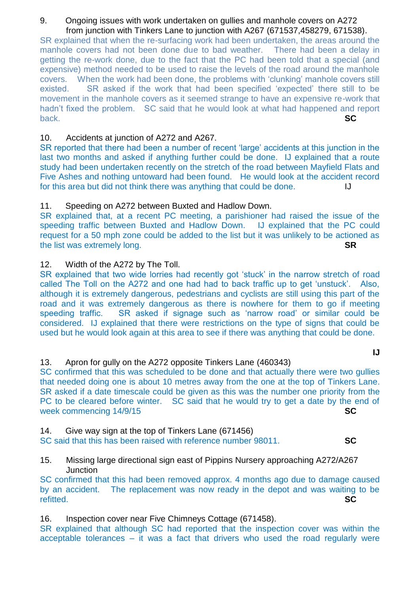#### 9. Ongoing issues with work undertaken on gullies and manhole covers on A272 from junction with Tinkers Lane to junction with A267 (671537,458279, 671538).

SR explained that when the re-surfacing work had been undertaken, the areas around the manhole covers had not been done due to bad weather. There had been a delay in getting the re-work done, due to the fact that the PC had been told that a special (and expensive) method needed to be used to raise the levels of the road around the manhole covers. When the work had been done, the problems with 'clunking' manhole covers still existed. SR asked if the work that had been specified 'expected' there still to be movement in the manhole covers as it seemed strange to have an expensive re-work that hadn't fixed the problem. SC said that he would look at what had happened and report back. **SC** 

# 10. Accidents at junction of A272 and A267.

SR reported that there had been a number of recent 'large' accidents at this junction in the last two months and asked if anything further could be done. IJ explained that a route study had been undertaken recently on the stretch of the road between Mayfield Flats and Five Ashes and nothing untoward had been found. He would look at the accident record for this area but did not think there was anything that could be done.

# 11. Speeding on A272 between Buxted and Hadlow Down.

SR explained that, at a recent PC meeting, a parishioner had raised the issue of the speeding traffic between Buxted and Hadlow Down. IJ explained that the PC could request for a 50 mph zone could be added to the list but it was unlikely to be actioned as the list was extremely long. **SR**

# 12. Width of the A272 by The Toll.

SR explained that two wide lorries had recently got 'stuck' in the narrow stretch of road called The Toll on the A272 and one had had to back traffic up to get 'unstuck'. Also, although it is extremely dangerous, pedestrians and cyclists are still using this part of the road and it was extremely dangerous as there is nowhere for them to go if meeting speeding traffic. SR asked if signage such as 'narrow road' or similar could be considered. IJ explained that there were restrictions on the type of signs that could be used but he would look again at this area to see if there was anything that could be done.

# 13. Apron for gully on the A272 opposite Tinkers Lane (460343)

SC confirmed that this was scheduled to be done and that actually there were two gullies that needed doing one is about 10 metres away from the one at the top of Tinkers Lane. SR asked if a date timescale could be given as this was the number one priority from the PC to be cleared before winter. SC said that he would try to get a date by the end of week commencing 14/9/15 **SC**

14. Give way sign at the top of Tinkers Lane (671456)

SC said that this has been raised with reference number 98011. **SC**

15. Missing large directional sign east of Pippins Nursery approaching A272/A267 **Junction** 

SC confirmed that this had been removed approx. 4 months ago due to damage caused by an accident. The replacement was now ready in the depot and was waiting to be refitted. **SC**

16. Inspection cover near Five Chimneys Cottage (671458).

SR explained that although SC had reported that the inspection cover was within the acceptable tolerances – it was a fact that drivers who used the road regularly were

**IJ**